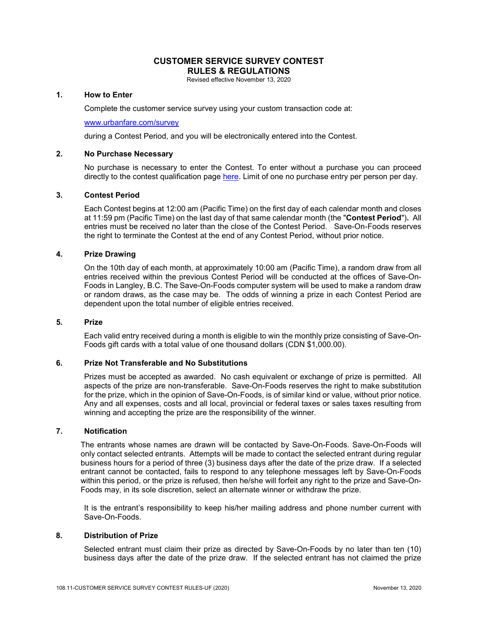# **CUSTOMER SERVICE SURVEY CONTEST RULES & REGULATIONS**

Revised effective November 13, 2020

## **1. How to Enter**

Complete the customer service survey using your custom transaction code at:

#### [www.urbanfare.com/survey](http://www.urbanfare.com/survey)

during a Contest Period, and you will be electronically entered into the Contest.

#### **2. No Purchase Necessary**

No purchase is necessary to enter the Contest. To enter without a purchase you can proceed directly to the contest qualification page [here.](http://www.urbanfare.com/survey) Limit of one no purchase entry per person per day.

## **3. Contest Period**

Each Contest begins at 12:00 am (Pacific Time) on the first day of each calendar month and closes at 11:59 pm (Pacific Time) on the last day of that same calendar month (the "**Contest Period**")**.** All entries must be received no later than the close of the Contest Period. Save-On-Foods reserves the right to terminate the Contest at the end of any Contest Period, without prior notice.

#### **4. Prize Drawing**

On the 10th day of each month, at approximately 10:00 am (Pacific Time), a random draw from all entries received within the previous Contest Period will be conducted at the offices of Save-On-Foods in Langley, B.C. The Save-On-Foods computer system will be used to make a random draw or random draws, as the case may be. The odds of winning a prize in each Contest Period are dependent upon the total number of eligible entries received.

#### **5. Prize**

Each valid entry received during a month is eligible to win the monthly prize consisting of Save-On-Foods gift cards with a total value of one thousand dollars (CDN \$1,000.00).

## **6. Prize Not Transferable and No Substitutions**

Prizes must be accepted as awarded. No cash equivalent or exchange of prize is permitted. All aspects of the prize are non-transferable. Save-On-Foods reserves the right to make substitution for the prize, which in the opinion of Save-On-Foods, is of similar kind or value, without prior notice. Any and all expenses, costs and all local, provincial or federal taxes or sales taxes resulting from winning and accepting the prize are the responsibility of the winner.

## **7. Notification**

The entrants whose names are drawn will be contacted by Save-On-Foods. Save-On-Foods will only contact selected entrants. Attempts will be made to contact the selected entrant during regular business hours for a period of three (3) business days after the date of the prize draw. If a selected entrant cannot be contacted, fails to respond to any telephone messages left by Save-On-Foods within this period, or the prize is refused, then he/she will forfeit any right to the prize and Save-On-Foods may, in its sole discretion, select an alternate winner or withdraw the prize.

It is the entrant's responsibility to keep his/her mailing address and phone number current with Save-On-Foods.

#### **8. Distribution of Prize**

Selected entrant must claim their prize as directed by Save-On-Foods by no later than ten (10) business days after the date of the prize draw. If the selected entrant has not claimed the prize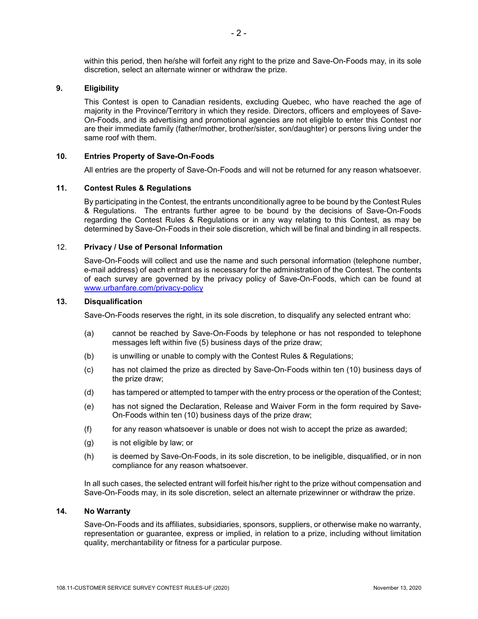within this period, then he/she will forfeit any right to the prize and Save-On-Foods may, in its sole discretion, select an alternate winner or withdraw the prize.

## **9. Eligibility**

This Contest is open to Canadian residents, excluding Quebec, who have reached the age of majority in the Province/Territory in which they reside. Directors, officers and employees of Save-On-Foods, and its advertising and promotional agencies are not eligible to enter this Contest nor are their immediate family (father/mother, brother/sister, son/daughter) or persons living under the same roof with them.

#### **10. Entries Property of Save-On-Foods**

All entries are the property of Save-On-Foods and will not be returned for any reason whatsoever.

#### **11. Contest Rules & Regulations**

By participating in the Contest, the entrants unconditionally agree to be bound by the Contest Rules & Regulations. The entrants further agree to be bound by the decisions of Save-On-Foods regarding the Contest Rules & Regulations or in any way relating to this Contest, as may be determined by Save-On-Foods in their sole discretion, which will be final and binding in all respects.

## 12. **Privacy / Use of Personal Information**

Save-On-Foods will collect and use the name and such personal information (telephone number, e-mail address) of each entrant as is necessary for the administration of the Contest. The contents of each survey are governed by the privacy policy of Save-On-Foods, which can be found at [www.urbanfare.com/privacy-policy](http://www.urbanfare.com/privacy-policy)

#### **13. Disqualification**

Save-On-Foods reserves the right, in its sole discretion, to disqualify any selected entrant who:

- (a) cannot be reached by Save-On-Foods by telephone or has not responded to telephone messages left within five (5) business days of the prize draw;
- (b) is unwilling or unable to comply with the Contest Rules & Regulations;
- (c) has not claimed the prize as directed by Save-On-Foods within ten (10) business days of the prize draw;
- (d) has tampered or attempted to tamper with the entry process or the operation of the Contest;
- (e) has not signed the Declaration, Release and Waiver Form in the form required by Save-On-Foods within ten (10) business days of the prize draw;
- $(f)$  for any reason whatsoever is unable or does not wish to accept the prize as awarded;
- (g) is not eligible by law; or
- (h) is deemed by Save-On-Foods, in its sole discretion, to be ineligible, disqualified, or in non compliance for any reason whatsoever.

In all such cases, the selected entrant will forfeit his/her right to the prize without compensation and Save-On-Foods may, in its sole discretion, select an alternate prizewinner or withdraw the prize.

#### **14. No Warranty**

Save-On-Foods and its affiliates, subsidiaries, sponsors, suppliers, or otherwise make no warranty, representation or guarantee, express or implied, in relation to a prize, including without limitation quality, merchantability or fitness for a particular purpose.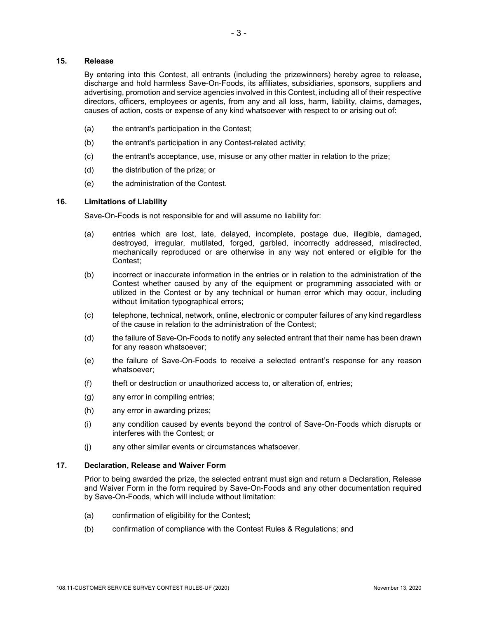# **15. Release**

By entering into this Contest, all entrants (including the prizewinners) hereby agree to release, discharge and hold harmless Save-On-Foods, its affiliates, subsidiaries, sponsors, suppliers and advertising, promotion and service agencies involved in this Contest, including all of their respective directors, officers, employees or agents, from any and all loss, harm, liability, claims, damages, causes of action, costs or expense of any kind whatsoever with respect to or arising out of:

- (a) the entrant's participation in the Contest;
- (b) the entrant's participation in any Contest-related activity;
- (c) the entrant's acceptance, use, misuse or any other matter in relation to the prize;
- (d) the distribution of the prize; or
- (e) the administration of the Contest.

# **16. Limitations of Liability**

Save-On-Foods is not responsible for and will assume no liability for:

- (a) entries which are lost, late, delayed, incomplete, postage due, illegible, damaged, destroyed, irregular, mutilated, forged, garbled, incorrectly addressed, misdirected, mechanically reproduced or are otherwise in any way not entered or eligible for the Contest;
- (b) incorrect or inaccurate information in the entries or in relation to the administration of the Contest whether caused by any of the equipment or programming associated with or utilized in the Contest or by any technical or human error which may occur, including without limitation typographical errors;
- (c) telephone, technical, network, online, electronic or computer failures of any kind regardless of the cause in relation to the administration of the Contest;
- (d) the failure of Save-On-Foods to notify any selected entrant that their name has been drawn for any reason whatsoever;
- (e) the failure of Save-On-Foods to receive a selected entrant's response for any reason whatsoever;
- (f) theft or destruction or unauthorized access to, or alteration of, entries;
- (g) any error in compiling entries;
- (h) any error in awarding prizes;
- (i) any condition caused by events beyond the control of Save-On-Foods which disrupts or interferes with the Contest; or
- (j) any other similar events or circumstances whatsoever.

## **17. Declaration, Release and Waiver Form**

Prior to being awarded the prize, the selected entrant must sign and return a Declaration, Release and Waiver Form in the form required by Save-On-Foods and any other documentation required by Save-On-Foods, which will include without limitation:

- (a) confirmation of eligibility for the Contest;
- (b) confirmation of compliance with the Contest Rules & Regulations; and